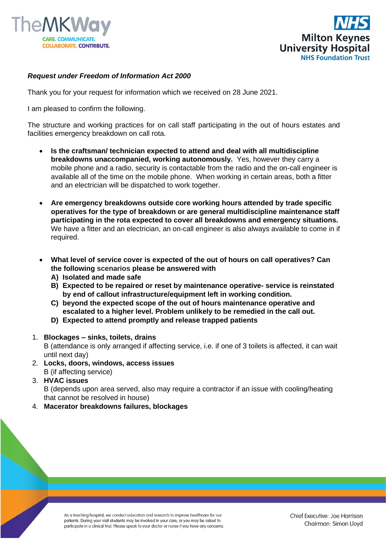



## *Request under Freedom of Information Act 2000*

Thank you for your request for information which we received on 28 June 2021.

I am pleased to confirm the following.

The structure and working practices for on call staff participating in the out of hours estates and facilities emergency breakdown on call rota.

- **Is the craftsman/ technician expected to attend and deal with all multidiscipline breakdowns unaccompanied, working autonomously.** Yes, however they carry a mobile phone and a radio, security is contactable from the radio and the on-call engineer is available all of the time on the mobile phone. When working in certain areas, both a fitter and an electrician will be dispatched to work together.
- **Are emergency breakdowns outside core working hours attended by trade specific operatives for the type of breakdown or are general multidiscipline maintenance staff participating in the rota expected to cover all breakdowns and emergency situations.** We have a fitter and an electrician, an on-call engineer is also always available to come in if required.
- **What level of service cover is expected of the out of hours on call operatives? Can the following scenarios please be answered with**
	- **A) Isolated and made safe**
	- **B) Expected to be repaired or reset by maintenance operative- service is reinstated by end of callout infrastructure/equipment left in working condition.**
	- **C) beyond the expected scope of the out of hours maintenance operative and escalated to a higher level. Problem unlikely to be remedied in the call out.**
	- **D) Expected to attend promptly and release trapped patients**
- 1. **Blockages – sinks, toilets, drains**

B (attendance is only arranged if affecting service, i.e. if one of 3 toilets is affected, it can wait until next day)

- 2. **Locks, doors, windows, access issues**  B (if affecting service)
- 3. **HVAC issues** B (depends upon area served, also may require a contractor if an issue with cooling/heating that cannot be resolved in house)
- 4. **Macerator breakdowns failures, blockages**

As a teaching hospital, we conduct education and research to improve healthcare for our patients. During your visit students may be involved in your care, or you may be asked to participate in a clinical trial. Please speak to your doctor or nurse if you have any concerns.